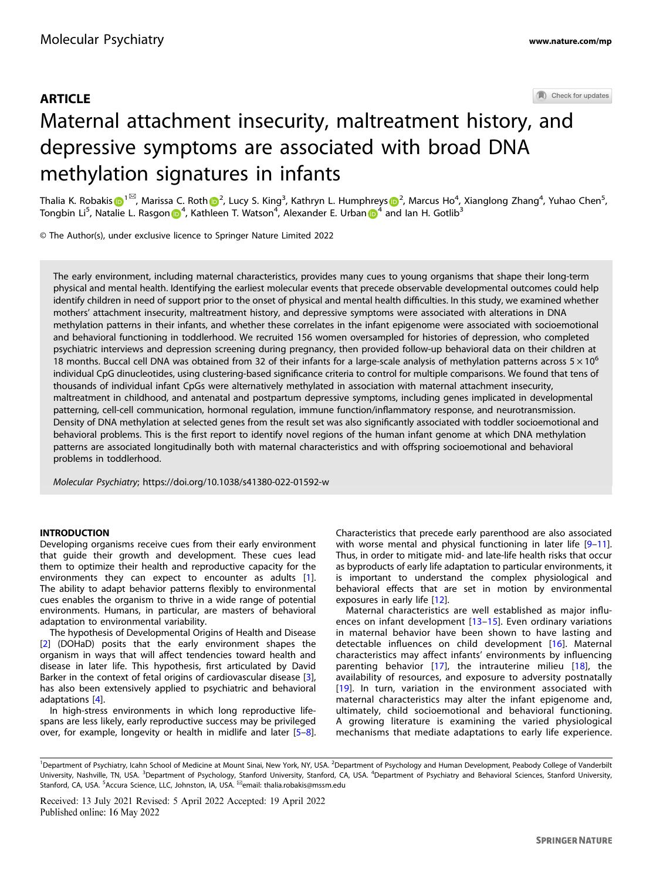# **ARTICLE** Maternal attachment insecurity, maltreatment history, and depressive symptoms are associated with broad DNA methylation signatures in infants

Thalia K. Robaki[s](http://orcid.org/0000-0003-2919-2555) $\bigoplus^{1\boxtimes}$  $\bigoplus^{1\boxtimes}$  $\bigoplus^{1\boxtimes}$ , Marissa C. Roth $\bigoplus^2$  $\bigoplus^2$ , Lucy S. King $^3$ , Kathryn L. Humphreys $\bigoplus^2$ , Marcus Ho $^4$ , Xianglong Zhang $^4$ , Yuhao Chen $^5$ , Tongbin Li<sup>5</sup>, Natalie L. Rasgon (D<sup>[4](http://orcid.org/0000-0001-9772-933X)</sup>, Kathleen T. Watson<sup>4</sup>, Alexander E. Urban (D<sup>4</sup> and Ian H. Gotlib<sup>3</sup>

© The Author(s), under exclusive licence to Springer Nature Limited 2022

The early environment, including maternal characteristics, provides many cues to young organisms that shape their long-term physical and mental health. Identifying the earliest molecular events that precede observable developmental outcomes could help identify children in need of support prior to the onset of physical and mental health difficulties. In this study, we examined whether mothers' attachment insecurity, maltreatment history, and depressive symptoms were associated with alterations in DNA methylation patterns in their infants, and whether these correlates in the infant epigenome were associated with socioemotional and behavioral functioning in toddlerhood. We recruited 156 women oversampled for histories of depression, who completed psychiatric interviews and depression screening during pregnancy, then provided follow-up behavioral data on their children at 18 months. Buccal cell DNA was obtained from 32 of their infants for a large-scale analysis of methylation patterns across  $5 \times 10^6$ individual CpG dinucleotides, using clustering-based significance criteria to control for multiple comparisons. We found that tens of thousands of individual infant CpGs were alternatively methylated in association with maternal attachment insecurity, maltreatment in childhood, and antenatal and postpartum depressive symptoms, including genes implicated in developmental patterning, cell-cell communication, hormonal regulation, immune function/inflammatory response, and neurotransmission. Density of DNA methylation at selected genes from the result set was also significantly associated with toddler socioemotional and behavioral problems. This is the first report to identify novel regions of the human infant genome at which DNA methylation patterns are associated longitudinally both with maternal characteristics and with offspring socioemotional and behavioral problems in toddlerhood.

Molecular Psychiatry;<https://doi.org/10.1038/s41380-022-01592-w>

## **INTRODUCTION**

Developing organisms receive cues from their early environment that guide their growth and development. These cues lead them to optimize their health and reproductive capacity for the environments they can expect to encounter as adults [\[1\]](#page-7-0). The ability to adapt behavior patterns flexibly to environmental cues enables the organism to thrive in a wide range of potential environments. Humans, in particular, are masters of behavioral adaptation to environmental variability.

The hypothesis of Developmental Origins of Health and Disease [\[2\]](#page-7-0) (DOHaD) posits that the early environment shapes the organism in ways that will affect tendencies toward health and disease in later life. This hypothesis, first articulated by David Barker in the context of fetal origins of cardiovascular disease [\[3\]](#page-7-0), has also been extensively applied to psychiatric and behavioral adaptations [[4](#page-7-0)].

In high-stress environments in which long reproductive lifespans are less likely, early reproductive success may be privileged over, for example, longevity or health in midlife and later [\[5](#page-7-0)–[8\]](#page-7-0). Characteristics that precede early parenthood are also associated with worse mental and physical functioning in later life [\[9](#page-7-0)-[11\]](#page-7-0). Thus, in order to mitigate mid- and late-life health risks that occur as byproducts of early life adaptation to particular environments, it is important to understand the complex physiological and behavioral effects that are set in motion by environmental exposures in early life [\[12](#page-7-0)].

Maternal characteristics are well established as major influences on infant development [[13](#page-7-0)–[15](#page-7-0)]. Even ordinary variations in maternal behavior have been shown to have lasting and detectable influences on child development [[16](#page-7-0)]. Maternal characteristics may affect infants' environments by influencing parenting behavior [[17](#page-7-0)], the intrauterine milieu [\[18\]](#page-7-0), the availability of resources, and exposure to adversity postnatally [\[19\]](#page-7-0). In turn, variation in the environment associated with maternal characteristics may alter the infant epigenome and, ultimately, child socioemotional and behavioral functioning. A growing literature is examining the varied physiological mechanisms that mediate adaptations to early life experience.

<sup>&</sup>lt;sup>1</sup>Department of Psychiatry, Icahn School of Medicine at Mount Sinai, New York, NY, USA. <sup>2</sup>Department of Psychology and Human Development, Peabody College of Vanderbilt University, Nashville, TN, USA. <sup>3</sup>Department of Psychology, Stanford University, Stanford, CA, USA. <sup>4</sup>Department of Psychiatry and Behavioral Sciences, Stanford University, Stanford, CA, USA. <sup>5</sup>Accura Science, LLC, Johnston, IA, USA. <sup>⊠</sup>email: [thalia.robakis@mssm.edu](mailto:thalia.robakis@mssm.edu)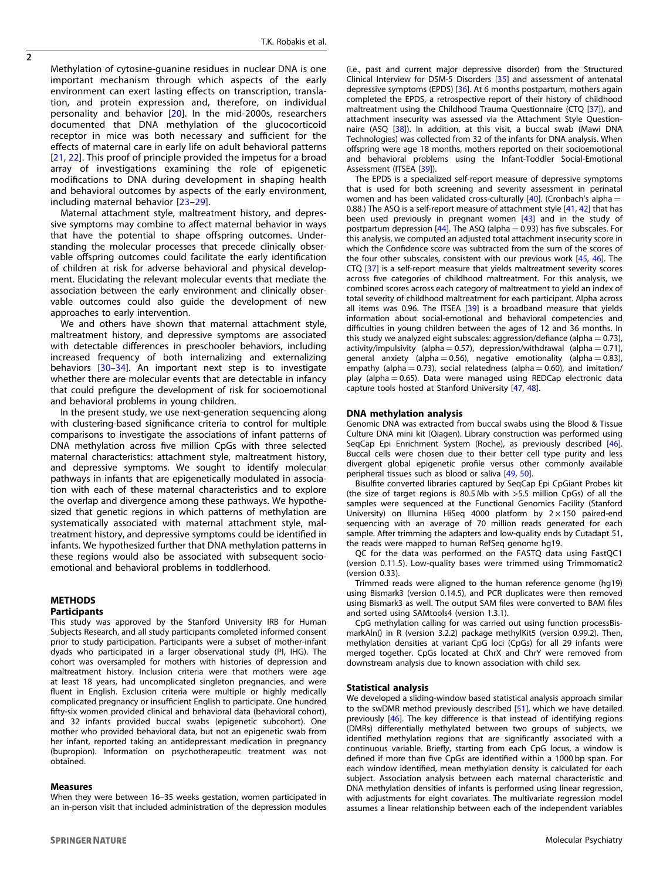Methylation of cytosine-guanine residues in nuclear DNA is one important mechanism through which aspects of the early environment can exert lasting effects on transcription, translation, and protein expression and, therefore, on individual personality and behavior [[20](#page-7-0)]. In the mid-2000s, researchers documented that DNA methylation of the glucocorticoid receptor in mice was both necessary and sufficient for the effects of maternal care in early life on adult behavioral patterns [[21](#page-7-0), [22](#page-7-0)]. This proof of principle provided the impetus for a broad array of investigations examining the role of epigenetic modifications to DNA during development in shaping health and behavioral outcomes by aspects of the early environment, including maternal behavior [\[23](#page-7-0)–[29\]](#page-8-0).

Maternal attachment style, maltreatment history, and depressive symptoms may combine to affect maternal behavior in ways that have the potential to shape offspring outcomes. Understanding the molecular processes that precede clinically observable offspring outcomes could facilitate the early identification of children at risk for adverse behavioral and physical development. Elucidating the relevant molecular events that mediate the association between the early environment and clinically observable outcomes could also guide the development of new approaches to early intervention.

We and others have shown that maternal attachment style, maltreatment history, and depressive symptoms are associated with detectable differences in preschooler behaviors, including increased frequency of both internalizing and externalizing behaviors [\[30](#page-8-0)–[34\]](#page-8-0). An important next step is to investigate whether there are molecular events that are detectable in infancy that could prefigure the development of risk for socioemotional and behavioral problems in young children.

In the present study, we use next-generation sequencing along with clustering-based significance criteria to control for multiple comparisons to investigate the associations of infant patterns of DNA methylation across five million CpGs with three selected maternal characteristics: attachment style, maltreatment history, and depressive symptoms. We sought to identify molecular pathways in infants that are epigenetically modulated in association with each of these maternal characteristics and to explore the overlap and divergence among these pathways. We hypothesized that genetic regions in which patterns of methylation are systematically associated with maternal attachment style, maltreatment history, and depressive symptoms could be identified in infants. We hypothesized further that DNA methylation patterns in these regions would also be associated with subsequent socioemotional and behavioral problems in toddlerhood.

# METHODS

# **Participants**

This study was approved by the Stanford University IRB for Human Subjects Research, and all study participants completed informed consent prior to study participation. Participants were a subset of mother-infant dyads who participated in a larger observational study (PI, IHG). The cohort was oversampled for mothers with histories of depression and maltreatment history. Inclusion criteria were that mothers were age at least 18 years, had uncomplicated singleton pregnancies, and were fluent in English. Exclusion criteria were multiple or highly medically complicated pregnancy or insufficient English to participate. One hundred fifty-six women provided clinical and behavioral data (behavioral cohort), and 32 infants provided buccal swabs (epigenetic subcohort). One mother who provided behavioral data, but not an epigenetic swab from her infant, reported taking an antidepressant medication in pregnancy (bupropion). Information on psychotherapeutic treatment was not obtained.

#### Measures

When they were between 16–35 weeks gestation, women participated in an in-person visit that included administration of the depression modules (i.e., past and current major depressive disorder) from the Structured Clinical Interview for DSM-5 Disorders [\[35](#page-8-0)] and assessment of antenatal depressive symptoms (EPDS) [[36\]](#page-8-0). At 6 months postpartum, mothers again completed the EPDS, a retrospective report of their history of childhood maltreatment using the Childhood Trauma Questionnaire (CTQ [[37\]](#page-8-0)), and attachment insecurity was assessed via the Attachment Style Question-naire (ASQ [\[38](#page-8-0)]). In addition, at this visit, a buccal swab (Mawi DNA Technologies) was collected from 32 of the infants for DNA analysis. When offspring were age 18 months, mothers reported on their socioemotional and behavioral problems using the Infant-Toddler Social-Emotional Assessment (ITSEA [\[39](#page-8-0)]).

The EPDS is a specialized self-report measure of depressive symptoms that is used for both screening and severity assessment in perinatal women and has been validated cross-culturally  $[40]$  $[40]$ . (Cronbach's alpha = 0.88.) The ASQ is a self-report measure of attachment style [[41,](#page-8-0) [42\]](#page-8-0) that has been used previously in pregnant women [[43\]](#page-8-0) and in the study of postpartum depression  $[44]$  $[44]$ . The ASO (alpha = 0.93) has five subscales. For this analysis, we computed an adjusted total attachment insecurity score in which the Confidence score was subtracted from the sum of the scores of the four other subscales, consistent with our previous work [[45,](#page-8-0) [46](#page-8-0)]. The CTQ [\[37](#page-8-0)] is a self-report measure that yields maltreatment severity scores across five categories of childhood maltreatment. For this analysis, we combined scores across each category of maltreatment to yield an index of total severity of childhood maltreatment for each participant. Alpha across all items was 0.96. The ITSEA  $[39]$  $[39]$  is a broadband measure that yields information about social-emotional and behavioral competencies and difficulties in young children between the ages of 12 and 36 months. In this study we analyzed eight subscales: aggression/defiance (alpha  $= 0.73$ ), activity/impulsivity (alpha = 0.57), depression/withdrawal (alpha = 0.71), general anxiety (alpha = 0.56), negative emotionality (alpha = 0.83), empathy (alpha = 0.73), social relatedness (alpha = 0.60), and imitation/ play (alpha  $= 0.65$ ). Data were managed using REDCap electronic data capture tools hosted at Stanford University [\[47](#page-8-0), [48\]](#page-8-0).

#### DNA methylation analysis

Genomic DNA was extracted from buccal swabs using the Blood & Tissue Culture DNA mini kit (Qiagen). Library construction was performed using SeqCap Epi Enrichment System (Roche), as previously described [\[46\]](#page-8-0). Buccal cells were chosen due to their better cell type purity and less divergent global epigenetic profile versus other commonly available peripheral tissues such as blood or saliva [[49](#page-8-0), [50](#page-8-0)].

Bisulfite converted libraries captured by SeqCap Epi CpGiant Probes kit (the size of target regions is 80.5 Mb with >5.5 million CpGs) of all the samples were sequenced at the Functional Genomics Facility (Stanford University) on Illumina HiSeq 4000 platform by  $2 \times 150$  paired-end sequencing with an average of 70 million reads generated for each sample. After trimming the adapters and low-quality ends by Cutadapt 51, the reads were mapped to human RefSeq genome hg19.

QC for the data was performed on the FASTQ data using FastQC1 (version 0.11.5). Low-quality bases were trimmed using Trimmomatic2 (version 0.33).

Trimmed reads were aligned to the human reference genome (hg19) using Bismark3 (version 0.14.5), and PCR duplicates were then removed using Bismark3 as well. The output SAM files were converted to BAM files and sorted using SAMtools4 (version 1.3.1).

CpG methylation calling for was carried out using function processBismarkAln() in R (version 3.2.2) package methylKit5 (version 0.99.2). Then, methylation densities at variant CpG loci (CpGs) for all 29 infants were merged together. CpGs located at ChrX and ChrY were removed from downstream analysis due to known association with child sex.

#### Statistical analysis

We developed a sliding-window based statistical analysis approach similar to the swDMR method previously described [\[51\]](#page-8-0), which we have detailed previously [[46\]](#page-8-0). The key difference is that instead of identifying regions (DMRs) differentially methylated between two groups of subjects, we identified methylation regions that are significantly associated with a continuous variable. Briefly, starting from each CpG locus, a window is defined if more than five CpGs are identified within a 1000 bp span. For each window identified, mean methylation density is calculated for each subject. Association analysis between each maternal characteristic and DNA methylation densities of infants is performed using linear regression, with adjustments for eight covariates. The multivariate regression model assumes a linear relationship between each of the independent variables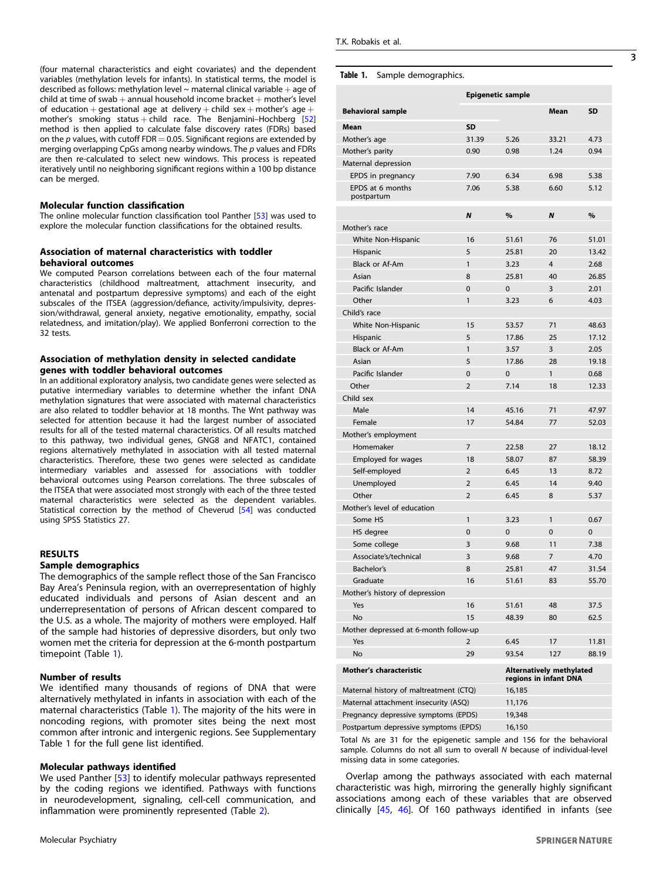3

(four maternal characteristics and eight covariates) and the dependent variables (methylation levels for infants). In statistical terms, the model is described as follows: methylation level  $\sim$  maternal clinical variable  $+$  age of child at time of swab  $+$  annual household income bracket  $+$  mother's level of education + gestational age at delivery + child sex + mother's age + mother's smoking status + child race. The Benjamini–Hochberg  $[52]$  $[52]$ method is then applied to calculate false discovery rates (FDRs) based on the  $p$  values, with cutoff FDR = 0.05. Significant regions are extended by merging overlapping CpGs among nearby windows. The  $p$  values and FDRs are then re-calculated to select new windows. This process is repeated iteratively until no neighboring significant regions within a 100 bp distance can be merged.

# Molecular function classification

The online molecular function classification tool Panther [\[53](#page-8-0)] was used to explore the molecular function classifications for the obtained results.

# Association of maternal characteristics with toddler behavioral outcomes

We computed Pearson correlations between each of the four maternal characteristics (childhood maltreatment, attachment insecurity, and antenatal and postpartum depressive symptoms) and each of the eight subscales of the ITSEA (aggression/defiance, activity/impulsivity, depression/withdrawal, general anxiety, negative emotionality, empathy, social relatedness, and imitation/play). We applied Bonferroni correction to the 32 tests.

# Association of methylation density in selected candidate genes with toddler behavioral outcomes

In an additional exploratory analysis, two candidate genes were selected as putative intermediary variables to determine whether the infant DNA methylation signatures that were associated with maternal characteristics are also related to toddler behavior at 18 months. The Wnt pathway was selected for attention because it had the largest number of associated results for all of the tested maternal characteristics. Of all results matched to this pathway, two individual genes, GNG8 and NFATC1, contained regions alternatively methylated in association with all tested maternal characteristics. Therefore, these two genes were selected as candidate intermediary variables and assessed for associations with toddler behavioral outcomes using Pearson correlations. The three subscales of the ITSEA that were associated most strongly with each of the three tested maternal characteristics were selected as the dependent variables. Statistical correction by the method of Cheverud [[54\]](#page-8-0) was conducted using SPSS Statistics 27.

# RESULTS

# Sample demographics

The demographics of the sample reflect those of the San Francisco Bay Area's Peninsula region, with an overrepresentation of highly educated individuals and persons of Asian descent and an underrepresentation of persons of African descent compared to the U.S. as a whole. The majority of mothers were employed. Half of the sample had histories of depressive disorders, but only two women met the criteria for depression at the 6-month postpartum timepoint (Table 1).

# Number of results

We identified many thousands of regions of DNA that were alternatively methylated in infants in association with each of the maternal characteristics (Table 1). The majority of the hits were in noncoding regions, with promoter sites being the next most common after intronic and intergenic regions. See Supplementary Table 1 for the full gene list identified.

# Molecular pathways identified

We used Panther [\[53\]](#page-8-0) to identify molecular pathways represented by the coding regions we identified. Pathways with functions in neurodevelopment, signaling, cell-cell communication, and inflammation were prominently represented (Table [2\)](#page-3-0).

|                                        | <b>Epigenetic sample</b> |               |                                                          |           |
|----------------------------------------|--------------------------|---------------|----------------------------------------------------------|-----------|
| <b>Behavioral sample</b>               |                          |               | Mean                                                     | <b>SD</b> |
| Mean                                   | <b>SD</b>                |               |                                                          |           |
| Mother's age                           | 31.39                    | 5.26          | 33.21                                                    | 4.73      |
| Mother's parity                        | 0.90                     | 0.98          | 1.24                                                     | 0.94      |
| Maternal depression                    |                          |               |                                                          |           |
| EPDS in pregnancy                      | 7.90                     | 6.34          | 6.98                                                     | 5.38      |
| EPDS at 6 months                       | 7.06                     | 5.38          | 6.60                                                     | 5.12      |
| postpartum                             |                          |               |                                                          |           |
|                                        | $\boldsymbol{N}$         | $\frac{9}{6}$ | N                                                        | $\%$      |
| Mother's race                          |                          |               |                                                          |           |
| White Non-Hispanic                     | 16                       | 51.61         | 76                                                       | 51.01     |
| Hispanic                               | 5                        | 25.81         | 20                                                       | 13.42     |
| <b>Black or Af-Am</b>                  | $\mathbf{1}$             | 3.23          | $\overline{4}$                                           | 2.68      |
| Asian                                  | 8                        | 25.81         | 40                                                       | 26.85     |
| Pacific Islander                       | $\mathbf 0$              | $\Omega$      | 3                                                        | 2.01      |
| Other                                  | 1                        | 3.23          | 6                                                        | 4.03      |
| Child's race                           |                          |               |                                                          |           |
| White Non-Hispanic                     | 15                       | 53.57         | 71                                                       | 48.63     |
| Hispanic                               | 5                        | 17.86         | 25                                                       | 17.12     |
| Black or Af-Am                         | 1                        | 3.57          | 3                                                        | 2.05      |
| Asian                                  | 5                        | 17.86         | 28                                                       | 19.18     |
| Pacific Islander                       | $\mathbf 0$              | 0             | 1                                                        | 0.68      |
| Other                                  | $\overline{2}$           | 7.14          | 18                                                       | 12.33     |
| Child sex                              |                          |               |                                                          |           |
| Male                                   | 14                       | 45.16         | 71                                                       | 47.97     |
| Female                                 | 17                       | 54.84         | 77                                                       | 52.03     |
| Mother's employment                    |                          |               |                                                          |           |
| Homemaker                              | $\overline{7}$           | 22.58         | 27                                                       | 18.12     |
| Employed for wages                     | 18                       | 58.07         | 87                                                       | 58.39     |
| Self-employed                          | $\overline{2}$           | 6.45          | 13                                                       | 8.72      |
| Unemployed                             | $\overline{2}$           | 6.45          | 14                                                       | 9.40      |
| Other                                  | $\overline{2}$           | 6.45          | 8                                                        | 5.37      |
| Mother's level of education<br>Some HS | 1                        | 3.23          | $\mathbf{1}$                                             | 0.67      |
|                                        | $\mathbf 0$              | 0             | $\Omega$                                                 | 0         |
| HS degree<br>Some college              | 3                        | 9.68          | 11                                                       | 7.38      |
| Associate's/technical                  | 3                        | 9.68          | $\overline{7}$                                           | 4.70      |
| <b>Bachelor's</b>                      | 8                        | 25.81         | 47                                                       | 31.54     |
| Graduate                               | 16                       | 51.61         | 83                                                       | 55.70     |
| Mother's history of depression         |                          |               |                                                          |           |
| Yes                                    | 16                       | 51.61         | 48                                                       | 37.5      |
| <b>No</b>                              | 15                       | 48.39         | 80                                                       | 62.5      |
| Mother depressed at 6-month follow-up  |                          |               |                                                          |           |
| Yes                                    | $\overline{2}$           | 6.45          | 17                                                       | 11.81     |
| <b>No</b>                              | 29                       | 93.54         | 127                                                      | 88.19     |
|                                        |                          |               |                                                          |           |
| <b>Mother's characteristic</b>         |                          |               | <b>Alternatively methylated</b><br>regions in infant DNA |           |
| Maternal history of maltreatment (CTQ) |                          | 16,185        |                                                          |           |
| Maternal attachment insecurity (ASQ)   |                          | 11,176        |                                                          |           |
| Pregnancy depressive symptoms (EPDS)   |                          | 19,348        |                                                          |           |
| Postpartum depressive symptoms (EPDS)  |                          | 16.150        |                                                          |           |

Total Ns are 31 for the epigenetic sample and 156 for the behavioral sample. Columns do not all sum to overall N because of individual-level missing data in some categories.

Overlap among the pathways associated with each maternal characteristic was high, mirroring the generally highly significant associations among each of these variables that are observed clinically [\[45,](#page-8-0) [46\]](#page-8-0). Of 160 pathways identified in infants (see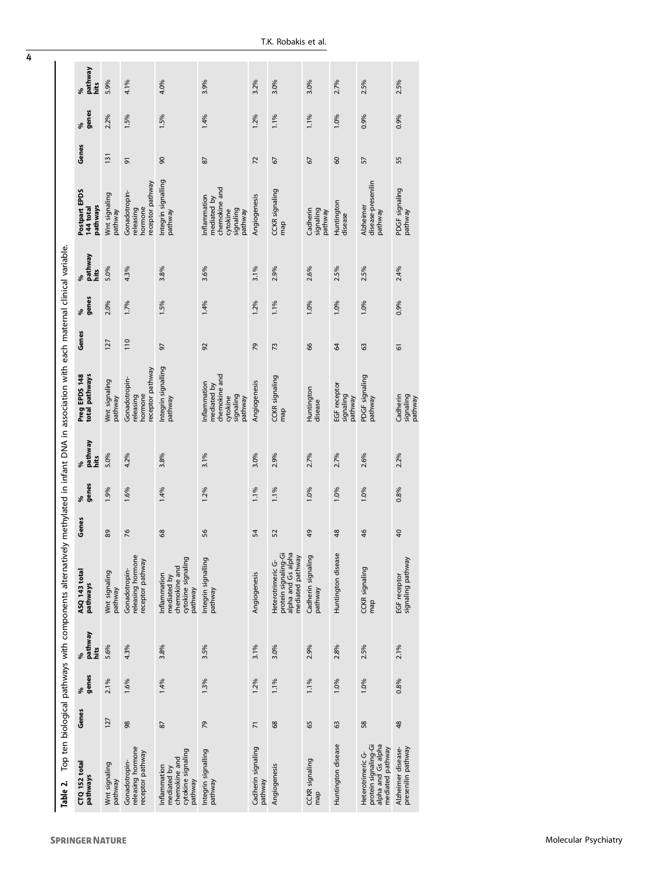| Table 2.                                                                            |                |            |                      | Top ten biological pathways with components alternatively methylated in infant DNA in association with each matemal clinical variable. |                 |            |                      |                                                                                 |               |            |                      |                                                                                 |       |            |                 |
|-------------------------------------------------------------------------------------|----------------|------------|----------------------|----------------------------------------------------------------------------------------------------------------------------------------|-----------------|------------|----------------------|---------------------------------------------------------------------------------|---------------|------------|----------------------|---------------------------------------------------------------------------------|-------|------------|-----------------|
| CTQ 152 total<br>pathways                                                           | Genes          | %<br>genes | %<br>pathway<br>hits | ASQ 143 total<br>pathways                                                                                                              | Genes           | %<br>genes | %<br>pathway<br>hits | Preg EPDS 148<br>total pathways                                                 | Genes         | %<br>genes | %<br>pathway<br>hits | Postpart EPDS<br>pathways<br>144 total                                          | Genes | genes<br>೩ | pathway<br>hits |
| Wnt signaling<br>pathway                                                            | 127            | 2.1%       | 5.6%                 | Wnt signaling<br>pathway                                                                                                               | 89              | 1.9%       | 5.0%                 | Wnt signaling<br>pathway                                                        | 127           | 2.0%       | 5.0%                 | Wnt signaling<br>pathway                                                        | 131   | 2.2%       | 5.9%            |
| releasing hormone<br>receptor pathway<br>Gonadotropin-                              | 98             | 1.6%       | 4.3%                 | releasing hormone<br>receptor pathway<br>Gonadotropin-                                                                                 | 76              | 1.6%       | 4.2%                 | eceptor pathway<br>Gonadotropin-<br>hormone<br>releasing                        | 110           | 1.7%       | 4.3%                 | eceptor pathway<br>Gonadotropin-<br>hormone<br>releasing                        | 5     | 1.5%       | 4.1%            |
| cytokine signaling<br>chemokine and<br>Inflammation<br>mediated by<br>pathway       | 87             | 1.4%       | 3.8%                 | cytokine signaling<br>chemokine and<br>Inflammation<br>mediated by<br>pathway                                                          | 68              | 1.4%       | 3.8%                 | Integrin signalling<br>pathway                                                  | 50            | 1.5%       | 3.8%                 | Integrin signalling<br>pathway                                                  | 90    | 1.5%       | 4.0%            |
| Integrin signalling<br>pathway                                                      | 79             | 1.3%       | 3.5%                 | Integrin signalling<br>pathway                                                                                                         | 56              | 1.2%       | 3.1%                 | chemokine and<br>nflammation<br>mediated by<br>signaling<br>cytokine<br>pathway | 92            | 1.4%       | 3.6%                 | chemokine and<br>nflammation<br>mediated by<br>signaling<br>cytokine<br>pathway | 28    | 1.4%       | 3.9%            |
| Cadherin signaling<br>pathway                                                       | $\overline{2}$ | 1.2%       | 3.1%                 | Angiogenesis                                                                                                                           | 54              | 1.1%       | 3.0%                 | Angiogenesis                                                                    | 79            | 1.2%       | 3.1%                 | Angiogenesis                                                                    | 72    | 1.2%       | 3.2%            |
| Angiogenesis                                                                        | 68             | 1.1%       | 3.0%                 | protein signaling-Gi<br>alpha and Gs alpha<br>mediated pathway<br>Heterotrimeric G-                                                    | 52              | 1.1%       | 2.9%                 | CCKR signaling<br>map                                                           | 73            | 1.1%       | 2.9%                 | CCKR signaling<br>map                                                           | 67    | 1.1%       | 3.0%            |
| CCKR signaling<br>map                                                               | 65             | 1.1%       | 2.9%                 | Cadherin signaling<br>pathway                                                                                                          | 49              | 1.0%       | 2.7%                 | Huntington<br>disease                                                           | 66            | 1.0%       | 2.6%                 | Cadherin<br>signaling<br>pathway                                                | 67    | 1.1%       | 3.0%            |
| Huntington disease                                                                  | 63             | 1.0%       | 2.8%                 | Huntington disease                                                                                                                     | 48              | 1.0%       | 2.7%                 | EGF receptor<br>signaling<br>pathway                                            | $\mathcal{L}$ | 1.0%       | 2.5%                 | Huntington<br>disease                                                           | 60    | 1.0%       | 2.7%            |
| alpha and Gs alpha<br>protein signaling-Gi<br>mediated pathway<br>Heterotrimeric G- | 58             | 1.0%       | 2.5%                 | CCKR signaling<br>map                                                                                                                  | 46              | 1.0%       | 2.6%                 | PDGF signaling<br>pathway                                                       | 63            | 1.0%       | 2.5%                 | disease-presenilin<br>Alzheimer<br>pathway                                      | 57    | 0.9%       | 2.5%            |
| presenilin pathway<br>Alzheimer disease-                                            | 48             | 0.8%       | 2.1%                 | EGF receptor<br>signaling pathway                                                                                                      | $\overline{40}$ | 0.8%       | 2.2%                 | Cadherin<br>signaling<br>pathway                                                | 61            | 0.9%       | 2.4%                 | PDGF signaling<br>pathway                                                       | 55    | 0.9%       | 2.5%            |

<span id="page-3-0"></span>4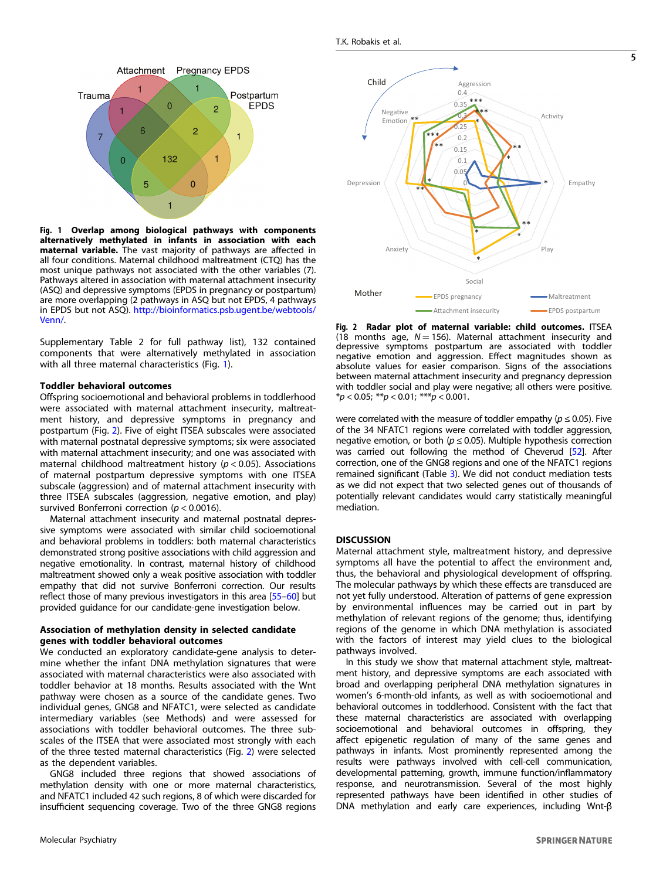<span id="page-4-0"></span>

Fig. 1 Overlap among biological pathways with components alternatively methylated in infants in association with each maternal variable. The vast majority of pathways are affected in all four conditions. Maternal childhood maltreatment (CTQ) has the most unique pathways not associated with the other variables (7). Pathways altered in association with maternal attachment insecurity (ASQ) and depressive symptoms (EPDS in pregnancy or postpartum) are more overlapping (2 pathways in ASQ but not EPDS, 4 pathways in EPDS but not ASQ). [http://bioinformatics.psb.ugent.be/webtools/](http://bioinformatics.psb.ugent.be/webtools/Venn/) [Venn/](http://bioinformatics.psb.ugent.be/webtools/Venn/).

Supplementary Table 2 for full pathway list), 132 contained components that were alternatively methylated in association with all three maternal characteristics (Fig. 1).

## Toddler behavioral outcomes

Offspring socioemotional and behavioral problems in toddlerhood were associated with maternal attachment insecurity, maltreatment history, and depressive symptoms in pregnancy and postpartum (Fig. 2). Five of eight ITSEA subscales were associated with maternal postnatal depressive symptoms; six were associated with maternal attachment insecurity; and one was associated with maternal childhood maltreatment history ( $p < 0.05$ ). Associations of maternal postpartum depressive symptoms with one ITSEA subscale (aggression) and of maternal attachment insecurity with three ITSEA subscales (aggression, negative emotion, and play) survived Bonferroni correction ( $p < 0.0016$ ).

Maternal attachment insecurity and maternal postnatal depressive symptoms were associated with similar child socioemotional and behavioral problems in toddlers: both maternal characteristics demonstrated strong positive associations with child aggression and negative emotionality. In contrast, maternal history of childhood maltreatment showed only a weak positive association with toddler empathy that did not survive Bonferroni correction. Our results reflect those of many previous investigators in this area [\[55](#page-8-0)–[60](#page-8-0)] but provided guidance for our candidate-gene investigation below.

# Association of methylation density in selected candidate genes with toddler behavioral outcomes

We conducted an exploratory candidate-gene analysis to determine whether the infant DNA methylation signatures that were associated with maternal characteristics were also associated with toddler behavior at 18 months. Results associated with the Wnt pathway were chosen as a source of the candidate genes. Two individual genes, GNG8 and NFATC1, were selected as candidate intermediary variables (see Methods) and were assessed for associations with toddler behavioral outcomes. The three subscales of the ITSEA that were associated most strongly with each of the three tested maternal characteristics (Fig. 2) were selected as the dependent variables.

GNG8 included three regions that showed associations of methylation density with one or more maternal characteristics, and NFATC1 included 42 such regions, 8 of which were discarded for insufficient sequencing coverage. Two of the three GNG8 regions



Fig. 2 Radar plot of maternal variable: child outcomes. ITSEA (18 months age,  $N = 156$ ). Maternal attachment insecurity and depressive symptoms postpartum are associated with toddler negative emotion and aggression. Effect magnitudes shown as absolute values for easier comparison. Signs of the associations between maternal attachment insecurity and pregnancy depression with toddler social and play were negative; all others were positive.  $**p* < 0.05; ***p* < 0.01; ****p* < 0.001.$ 

were correlated with the measure of toddler empathy ( $p \le 0.05$ ). Five of the 34 NFATC1 regions were correlated with toddler aggression, negative emotion, or both ( $p \le 0.05$ ). Multiple hypothesis correction was carried out following the method of Cheverud [\[52\]](#page-8-0). After correction, one of the GNG8 regions and one of the NFATC1 regions remained significant (Table [3\)](#page-5-0). We did not conduct mediation tests as we did not expect that two selected genes out of thousands of potentially relevant candidates would carry statistically meaningful mediation.

#### **DISCUSSION**

Maternal attachment style, maltreatment history, and depressive symptoms all have the potential to affect the environment and, thus, the behavioral and physiological development of offspring. The molecular pathways by which these effects are transduced are not yet fully understood. Alteration of patterns of gene expression by environmental influences may be carried out in part by methylation of relevant regions of the genome; thus, identifying regions of the genome in which DNA methylation is associated with the factors of interest may yield clues to the biological pathways involved.

In this study we show that maternal attachment style, maltreatment history, and depressive symptoms are each associated with broad and overlapping peripheral DNA methylation signatures in women's 6-month-old infants, as well as with socioemotional and behavioral outcomes in toddlerhood. Consistent with the fact that these maternal characteristics are associated with overlapping socioemotional and behavioral outcomes in offspring, they affect epigenetic regulation of many of the same genes and pathways in infants. Most prominently represented among the results were pathways involved with cell-cell communication, developmental patterning, growth, immune function/inflammatory response, and neurotransmission. Several of the most highly represented pathways have been identified in other studies of DNA methylation and early care experiences, including Wnt-β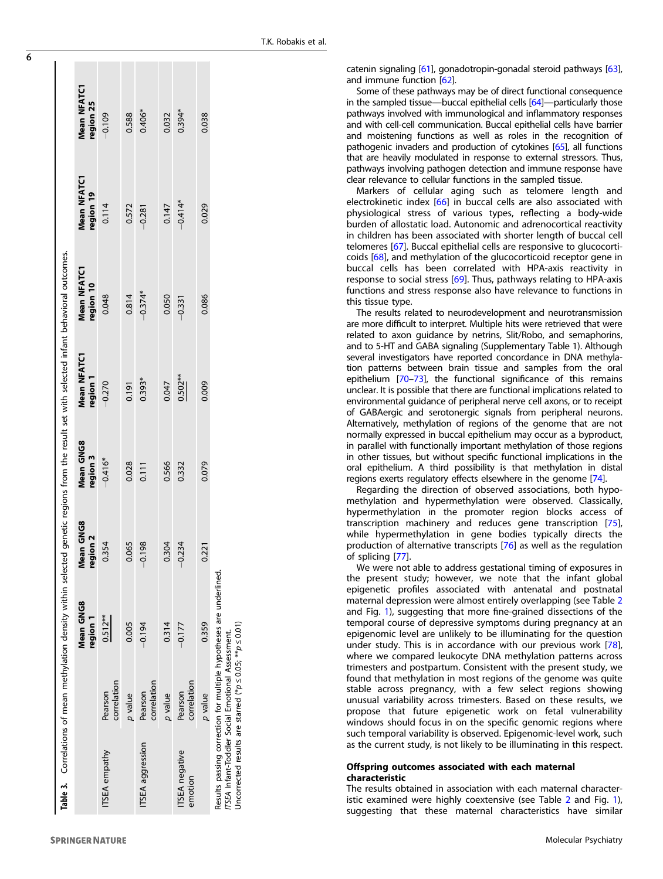<span id="page-5-0"></span>

| <b>ITSEA</b> empathy                                                                                                                                                                          |                        | Mean GNG8<br>region 1 | Mean GNG8<br>region 2 | <b>Mean GNG8</b><br>region 3 | <b>Mean NFATC1</b><br>region 1 | <b>Mean NFATC1</b><br>region 10 | <b>Mean NFATC1</b><br>region 19 | Mean NFATC1<br>region 25 |
|-----------------------------------------------------------------------------------------------------------------------------------------------------------------------------------------------|------------------------|-----------------------|-----------------------|------------------------------|--------------------------------|---------------------------------|---------------------------------|--------------------------|
|                                                                                                                                                                                               | correlation<br>Pearson | $0.512**$             | 0.354                 | $-0.416*$                    | $-0.270$                       | 0.048                           | 0.114                           | $-0.109$                 |
|                                                                                                                                                                                               | p value                | 0.005                 | 0.065                 | 0.028                        | 0.191                          | 0.814                           | 0.572                           | 0.588                    |
| <b>ITSEA</b> aggression                                                                                                                                                                       | correlation<br>Pearson | $-0.194$              | $-0.198$              | 0.111                        | $0.393*$                       | $-0.374*$                       | $-0.281$                        | $0.406*$                 |
|                                                                                                                                                                                               | p value                | 0.314                 | 0.304                 | 0.566                        | 0.047                          | 0.050                           | 0.147                           | 0.032                    |
| <b>ITSEA</b> negative<br>emotion                                                                                                                                                              | correlation<br>Pearson | $-0.177$              | $-0.234$              | 0.332                        | $0.502***$                     | $-0.331$                        | $-0.414*$                       | $0.394*$                 |
|                                                                                                                                                                                               | p value                | 0.359                 | 0.221                 | 0.079                        | 0.009                          | 0.086                           | 0.029                           | 0.038                    |
| Results passing correction for multiple hypotheses are underlined.<br>Uncorrected results are starred (* $p \le 0.05$ ; ** $p \le 0.01$ )<br>TSEA Infant-Toddler Social Emotional Assessment. |                        |                       |                       |                              |                                |                                 |                                 |                          |

catenin signaling [\[61](#page-8-0)], gonadotropin-gonadal steroid pathways [\[63](#page-8-0)], and immune function [\[62](#page-8-0)].

Some of these pathways may be of direct functional consequence in the sampled tissue—buccal epithelial cells [[64](#page-8-0)]—particularly those pathways involved with immunological and in flammatory responses and with cell-cell communication. Buccal epithelial cells have barrier and moistening functions as well as roles in the recognition of pathogenic invaders and production of cytokines [[65\]](#page-8-0), all functions that are heavily modulated in response to external stressors. Thus, pathways involving pathogen detection and immune response have clear relevance to cellular functions in the sampled tissue.

Markers of cellular aging such as telomere length and electrokinetic index [\[66](#page-8-0)] in buccal cells are also associated with physiological stress of various types, re flecting a body-wide burden of allostatic load. Autonomic and adrenocortical reactivity in children has been associated with shorter length of buccal cell telomeres [[67\]](#page-8-0). Buccal epithelial cells are responsive to glucocorticoids [[68](#page-8-0)], and methylation of the glucocorticoid receptor gene in buccal cells has been correlated with HPA-axis reactivity in response to social stress [\[69](#page-8-0)]. Thus, pathways relating to HPA-axis functions and stress response also have relevance to functions in this tissue type.

The results related to neurodevelopment and neurotransmission are more difficult to interpret. Multiple hits were retrieved that were related to axon guidance by netrins, Slit/Robo, and semaphorins, and to 5-HT and GABA signaling (Supplementary Table 1). Although several investigators have reported concordance in DNA methylation patterns between brain tissue and samples from the oral epithelium [[70](#page-8-0) –[73\]](#page-8-0), the functional signi ficance of this remains unclear. It is possible that there are functional implications related to environmental guidance of peripheral nerve cell axons, or to receipt of GABAergic and serotonergic signals from peripheral neurons. Alternatively, methylation of regions of the genome that are not normally expressed in buccal epithelium may occur as a byproduct, in parallel with functionally important methylation of those regions in other tissues, but without speci fic functional implications in the oral epithelium. A third possibility is that methylation in distal regions exerts regulatory effects elsewhere in the genome [[74](#page-8-0)].

Regarding the direction of observed associations, both hypomethylation and hypermethylation were observed. Classically, hypermethylation in the promoter region blocks access of transcription machinery and reduces gene transcription [[75](#page-8-0)], while hypermethylation in gene bodies typically directs the production of alternative transcripts [\[76\]](#page-9-0) as well as the regulation of splicing [[77](#page-9-0)].

We were not able to address gestational timing of exposures in the present study; however, we note that the infant global epigenetic pro files associated with antenatal and postnatal maternal depression were almost entirely overlapping (see Table [2](#page-3-0) and Fig. [1\)](#page-4-0), suggesting that more fine-grained dissections of the temporal course of depressive symptoms during pregnancy at an epigenomic level are unlikely to be illuminating for the question under study. This is in accordance with our previous work [[78](#page-9-0)], where we compared leukocyte DNA methylation patterns across trimesters and postpartum. Consistent with the present study, we found that methylation in most regions of the genome was quite stable across pregnancy, with a few select regions showing unusual variability across trimesters. Based on these results, we propose that future epigenetic work on fetal vulnerability windows should focus in on the specific genomic regions where such temporal variability is observed. Epigenomic-level work, such as the current study, is not likely to be illuminating in this respect.

#### Offspring outcomes associated with each maternal characteristic

The results obtained in association with each maternal characteristic examined were highly coextensive (see Table [2](#page-3-0) and Fig. [1](#page-4-0)), suggesting that these maternal characteristics have similar

**SPRINGER NATURE**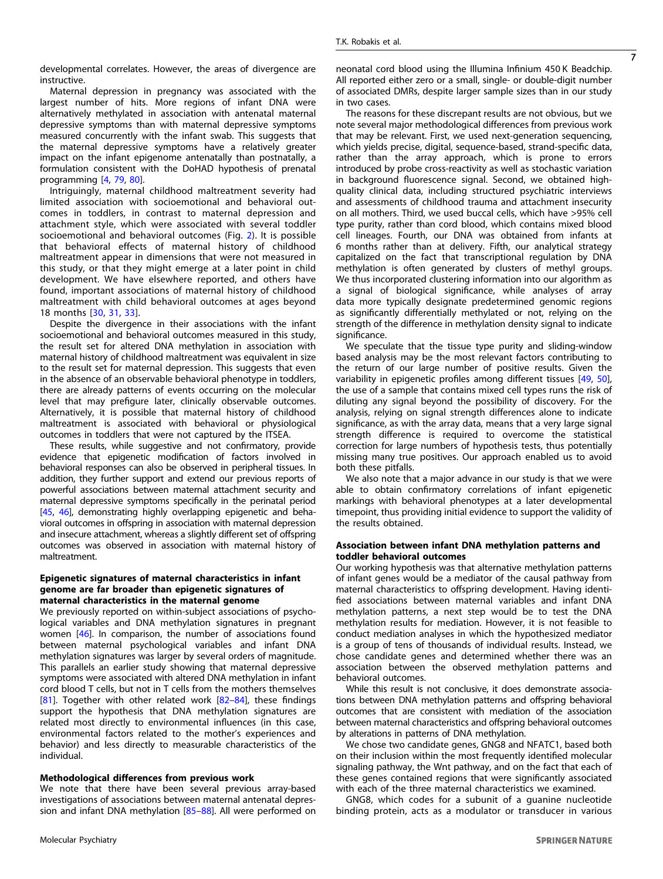developmental correlates. However, the areas of divergence are instructive.

Maternal depression in pregnancy was associated with the largest number of hits. More regions of infant DNA were alternatively methylated in association with antenatal maternal depressive symptoms than with maternal depressive symptoms measured concurrently with the infant swab. This suggests that the maternal depressive symptoms have a relatively greater impact on the infant epigenome antenatally than postnatally, a formulation consistent with the DoHAD hypothesis of prenatal programming [\[4,](#page-7-0) [79,](#page-9-0) [80\]](#page-9-0).

Intriguingly, maternal childhood maltreatment severity had limited association with socioemotional and behavioral outcomes in toddlers, in contrast to maternal depression and attachment style, which were associated with several toddler socioemotional and behavioral outcomes (Fig. [2](#page-4-0)). It is possible that behavioral effects of maternal history of childhood maltreatment appear in dimensions that were not measured in this study, or that they might emerge at a later point in child development. We have elsewhere reported, and others have found, important associations of maternal history of childhood maltreatment with child behavioral outcomes at ages beyond 18 months [\[30,](#page-8-0) [31](#page-8-0), [33](#page-8-0)].

Despite the divergence in their associations with the infant socioemotional and behavioral outcomes measured in this study, the result set for altered DNA methylation in association with maternal history of childhood maltreatment was equivalent in size to the result set for maternal depression. This suggests that even in the absence of an observable behavioral phenotype in toddlers, there are already patterns of events occurring on the molecular level that may prefigure later, clinically observable outcomes. Alternatively, it is possible that maternal history of childhood maltreatment is associated with behavioral or physiological outcomes in toddlers that were not captured by the ITSEA.

These results, while suggestive and not confirmatory, provide evidence that epigenetic modification of factors involved in behavioral responses can also be observed in peripheral tissues. In addition, they further support and extend our previous reports of powerful associations between maternal attachment security and maternal depressive symptoms specifically in the perinatal period [\[45](#page-8-0), [46\]](#page-8-0), demonstrating highly overlapping epigenetic and behavioral outcomes in offspring in association with maternal depression and insecure attachment, whereas a slightly different set of offspring outcomes was observed in association with maternal history of maltreatment.

#### Epigenetic signatures of maternal characteristics in infant genome are far broader than epigenetic signatures of maternal characteristics in the maternal genome

We previously reported on within-subject associations of psychological variables and DNA methylation signatures in pregnant women [[46](#page-8-0)]. In comparison, the number of associations found between maternal psychological variables and infant DNA methylation signatures was larger by several orders of magnitude. This parallels an earlier study showing that maternal depressive symptoms were associated with altered DNA methylation in infant cord blood T cells, but not in T cells from the mothers themselves [\[81\]](#page-9-0). Together with other related work  $[82-84]$  $[82-84]$  $[82-84]$ , these findings support the hypothesis that DNA methylation signatures are related most directly to environmental influences (in this case, environmental factors related to the mother's experiences and behavior) and less directly to measurable characteristics of the individual.

# Methodological differences from previous work

We note that there have been several previous array-based investigations of associations between maternal antenatal depression and infant DNA methylation [\[85](#page-9-0)–[88](#page-9-0)]. All were performed on neonatal cord blood using the Illumina Infinium 450 K Beadchip. All reported either zero or a small, single- or double-digit number of associated DMRs, despite larger sample sizes than in our study in two cases.

7

The reasons for these discrepant results are not obvious, but we note several major methodological differences from previous work that may be relevant. First, we used next-generation sequencing, which yields precise, digital, sequence-based, strand-specific data, rather than the array approach, which is prone to errors introduced by probe cross-reactivity as well as stochastic variation in background fluorescence signal. Second, we obtained highquality clinical data, including structured psychiatric interviews and assessments of childhood trauma and attachment insecurity on all mothers. Third, we used buccal cells, which have >95% cell type purity, rather than cord blood, which contains mixed blood cell lineages. Fourth, our DNA was obtained from infants at 6 months rather than at delivery. Fifth, our analytical strategy capitalized on the fact that transcriptional regulation by DNA methylation is often generated by clusters of methyl groups. We thus incorporated clustering information into our algorithm as a signal of biological significance, while analyses of array data more typically designate predetermined genomic regions as significantly differentially methylated or not, relying on the strength of the difference in methylation density signal to indicate significance.

We speculate that the tissue type purity and sliding-window based analysis may be the most relevant factors contributing to the return of our large number of positive results. Given the variability in epigenetic profiles among different tissues [\[49](#page-8-0), [50\]](#page-8-0), the use of a sample that contains mixed cell types runs the risk of diluting any signal beyond the possibility of discovery. For the analysis, relying on signal strength differences alone to indicate significance, as with the array data, means that a very large signal strength difference is required to overcome the statistical correction for large numbers of hypothesis tests, thus potentially missing many true positives. Our approach enabled us to avoid both these pitfalls.

We also note that a major advance in our study is that we were able to obtain confirmatory correlations of infant epigenetic markings with behavioral phenotypes at a later developmental timepoint, thus providing initial evidence to support the validity of the results obtained.

## Association between infant DNA methylation patterns and toddler behavioral outcomes

Our working hypothesis was that alternative methylation patterns of infant genes would be a mediator of the causal pathway from maternal characteristics to offspring development. Having identified associations between maternal variables and infant DNA methylation patterns, a next step would be to test the DNA methylation results for mediation. However, it is not feasible to conduct mediation analyses in which the hypothesized mediator is a group of tens of thousands of individual results. Instead, we chose candidate genes and determined whether there was an association between the observed methylation patterns and behavioral outcomes.

While this result is not conclusive, it does demonstrate associations between DNA methylation patterns and offspring behavioral outcomes that are consistent with mediation of the association between maternal characteristics and offspring behavioral outcomes by alterations in patterns of DNA methylation.

We chose two candidate genes, GNG8 and NFATC1, based both on their inclusion within the most frequently identified molecular signaling pathway, the Wnt pathway, and on the fact that each of these genes contained regions that were significantly associated with each of the three maternal characteristics we examined.

GNG8, which codes for a subunit of a guanine nucleotide binding protein, acts as a modulator or transducer in various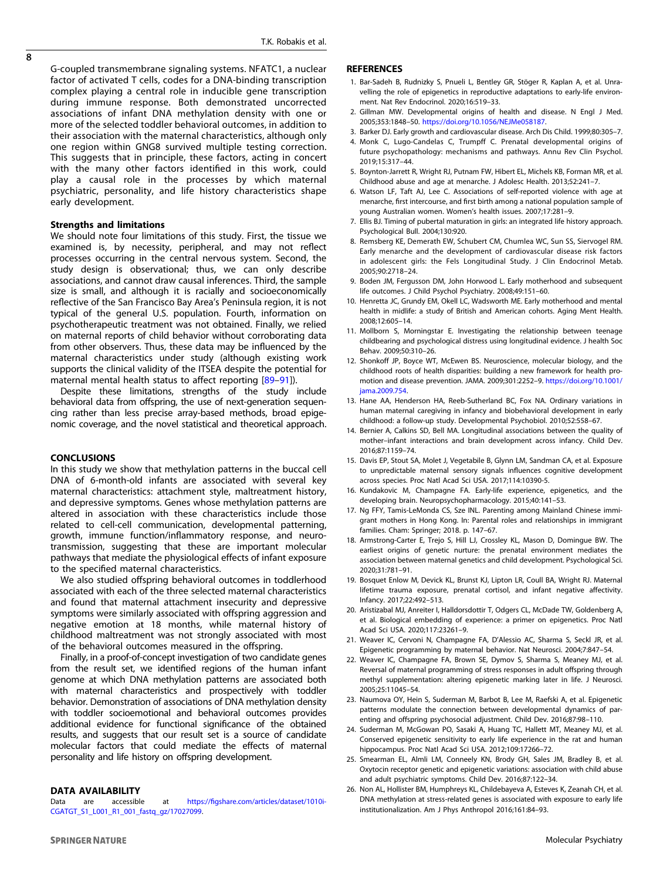<span id="page-7-0"></span>G-coupled transmembrane signaling systems. NFATC1, a nuclear factor of activated T cells, codes for a DNA-binding transcription complex playing a central role in inducible gene transcription during immune response. Both demonstrated uncorrected associations of infant DNA methylation density with one or more of the selected toddler behavioral outcomes, in addition to their association with the maternal characteristics, although only one region within GNG8 survived multiple testing correction. This suggests that in principle, these factors, acting in concert with the many other factors identified in this work, could play a causal role in the processes by which maternal psychiatric, personality, and life history characteristics shape early development.

#### Strengths and limitations

We should note four limitations of this study. First, the tissue we examined is, by necessity, peripheral, and may not reflect processes occurring in the central nervous system. Second, the study design is observational; thus, we can only describe associations, and cannot draw causal inferences. Third, the sample size is small, and although it is racially and socioeconomically reflective of the San Francisco Bay Area's Peninsula region, it is not typical of the general U.S. population. Fourth, information on psychotherapeutic treatment was not obtained. Finally, we relied on maternal reports of child behavior without corroborating data from other observers. Thus, these data may be influenced by the maternal characteristics under study (although existing work supports the clinical validity of the ITSEA despite the potential for maternal mental health status to affect reporting [[89](#page-9-0)–[91](#page-9-0)]).

Despite these limitations, strengths of the study include behavioral data from offspring, the use of next-generation sequencing rather than less precise array-based methods, broad epigenomic coverage, and the novel statistical and theoretical approach.

#### **CONCLUSIONS**

In this study we show that methylation patterns in the buccal cell DNA of 6-month-old infants are associated with several key maternal characteristics: attachment style, maltreatment history, and depressive symptoms. Genes whose methylation patterns are altered in association with these characteristics include those related to cell-cell communication, developmental patterning, growth, immune function/inflammatory response, and neurotransmission, suggesting that these are important molecular pathways that mediate the physiological effects of infant exposure to the specified maternal characteristics.

We also studied offspring behavioral outcomes in toddlerhood associated with each of the three selected maternal characteristics and found that maternal attachment insecurity and depressive symptoms were similarly associated with offspring aggression and negative emotion at 18 months, while maternal history of childhood maltreatment was not strongly associated with most of the behavioral outcomes measured in the offspring.

Finally, in a proof-of-concept investigation of two candidate genes from the result set, we identified regions of the human infant genome at which DNA methylation patterns are associated both with maternal characteristics and prospectively with toddler behavior. Demonstration of associations of DNA methylation density with toddler socioemotional and behavioral outcomes provides additional evidence for functional significance of the obtained results, and suggests that our result set is a source of candidate molecular factors that could mediate the effects of maternal personality and life history on offspring development.

## DATA AVAILABILITY

Data are accessible at https://fi[gshare.com/articles/dataset/1010i-](https://figshare.com/articles/dataset/1010i-CGATGT_S1_L001_R1_001_fastq_gz/17027099)[CGATGT\\_S1\\_L001\\_R1\\_001\\_fastq\\_gz/17027099](https://figshare.com/articles/dataset/1010i-CGATGT_S1_L001_R1_001_fastq_gz/17027099).

#### **REFERENCES**

- 1. Bar-Sadeh B, Rudnizky S, Pnueli L, Bentley GR, Stöger R, Kaplan A, et al. Unravelling the role of epigenetics in reproductive adaptations to early-life environment. Nat Rev Endocrinol. 2020;16:519–33.
- 2. Gillman MW. Developmental origins of health and disease. N Engl J Med. 2005;353:1848–50. [https://doi.org/10.1056/NEJMe058187.](https://doi.org/10.1056/NEJMe058187)
- 3. Barker DJ. Early growth and cardiovascular disease. Arch Dis Child. 1999;80:305–7.
- 4. Monk C, Lugo-Candelas C, Trumpff C. Prenatal developmental origins of future psychopathology: mechanisms and pathways. Annu Rev Clin Psychol. 2019;15:317–44.
- 5. Boynton-Jarrett R, Wright RJ, Putnam FW, Hibert EL, Michels KB, Forman MR, et al. Childhood abuse and age at menarche. J Adolesc Health. 2013;52:241–7.
- 6. Watson LF, Taft AJ, Lee C. Associations of self-reported violence with age at menarche, first intercourse, and first birth among a national population sample of young Australian women. Women's health issues. 2007;17:281–9.
- 7. Ellis BJ. Timing of pubertal maturation in girls: an integrated life history approach. Psychological Bull. 2004;130:920.
- 8. Remsberg KE, Demerath EW, Schubert CM, Chumlea WC, Sun SS, Siervogel RM. Early menarche and the development of cardiovascular disease risk factors in adolescent girls: the Fels Longitudinal Study. J Clin Endocrinol Metab. 2005;90:2718–24.
- 9. Boden JM, Fergusson DM, John Horwood L. Early motherhood and subsequent life outcomes. J Child Psychol Psychiatry. 2008;49:151–60.
- 10. Henretta JC, Grundy EM, Okell LC, Wadsworth ME. Early motherhood and mental health in midlife: a study of British and American cohorts. Aging Ment Health. 2008;12:605–14.
- 11. Mollborn S, Morningstar E. Investigating the relationship between teenage childbearing and psychological distress using longitudinal evidence. J health Soc Behav. 2009;50:310–26.
- 12. Shonkoff JP, Boyce WT, McEwen BS. Neuroscience, molecular biology, and the childhood roots of health disparities: building a new framework for health promotion and disease prevention. JAMA. 2009;301:2252–9. [https://doi.org/10.1001/](https://doi.org/10.1001/jama.2009.754) [jama.2009.754](https://doi.org/10.1001/jama.2009.754).
- 13. Hane AA, Henderson HA, Reeb‐Sutherland BC, Fox NA. Ordinary variations in human maternal caregiving in infancy and biobehavioral development in early childhood: a follow‐up study. Developmental Psychobiol. 2010;52:558–67.
- 14. Bernier A, Calkins SD, Bell MA. Longitudinal associations between the quality of mother–infant interactions and brain development across infancy. Child Dev. 2016;87:1159–74.
- 15. Davis EP, Stout SA, Molet J, Vegetabile B, Glynn LM, Sandman CA, et al. Exposure to unpredictable maternal sensory signals influences cognitive development across species. Proc Natl Acad Sci USA. 2017;114:10390-5.
- 16. Kundakovic M, Champagne FA. Early-life experience, epigenetics, and the developing brain. Neuropsychopharmacology. 2015;40:141–53.
- 17. Ng FFY, Tamis-LeMonda CS, Sze INL. Parenting among Mainland Chinese immigrant mothers in Hong Kong. In: Parental roles and relationships in immigrant families. Cham: Springer; 2018. p. 147–67.
- 18. Armstrong-Carter E, Trejo S, Hill LJ, Crossley KL, Mason D, Domingue BW. The earliest origins of genetic nurture: the prenatal environment mediates the association between maternal genetics and child development. Psychological Sci. 2020;31:781–91.
- 19. Bosquet Enlow M, Devick KL, Brunst KJ, Lipton LR, Coull BA, Wright RJ. Maternal lifetime trauma exposure, prenatal cortisol, and infant negative affectivity. Infancy. 2017;22:492–513.
- 20. Aristizabal MJ, Anreiter I, Halldorsdottir T, Odgers CL, McDade TW, Goldenberg A, et al. Biological embedding of experience: a primer on epigenetics. Proc Natl Acad Sci USA. 2020;117:23261–9.
- 21. Weaver IC, Cervoni N, Champagne FA, D'Alessio AC, Sharma S, Seckl JR, et al. Epigenetic programming by maternal behavior. Nat Neurosci. 2004;7:847–54.
- 22. Weaver IC, Champagne FA, Brown SE, Dymov S, Sharma S, Meaney MJ, et al. Reversal of maternal programming of stress responses in adult offspring through methyl supplementation: altering epigenetic marking later in life. J Neurosci. 2005;25:11045–54.
- 23. Naumova OY, Hein S, Suderman M, Barbot B, Lee M, Raefski A, et al. Epigenetic patterns modulate the connection between developmental dynamics of parenting and offspring psychosocial adjustment. Child Dev. 2016;87:98–110.
- 24. Suderman M, McGowan PO, Sasaki A, Huang TC, Hallett MT, Meaney MJ, et al. Conserved epigenetic sensitivity to early life experience in the rat and human hippocampus. Proc Natl Acad Sci USA. 2012;109:17266–72.
- 25. Smearman EL, Almli LM, Conneely KN, Brody GH, Sales JM, Bradley B, et al. Oxytocin receptor genetic and epigenetic variations: association with child abuse and adult psychiatric symptoms. Child Dev. 2016;87:122–34.
- 26. Non AL, Hollister BM, Humphreys KL, Childebayeva A, Esteves K, Zeanah CH, et al. DNA methylation at stress-related genes is associated with exposure to early life institutionalization. Am J Phys Anthropol 2016;161:84–93.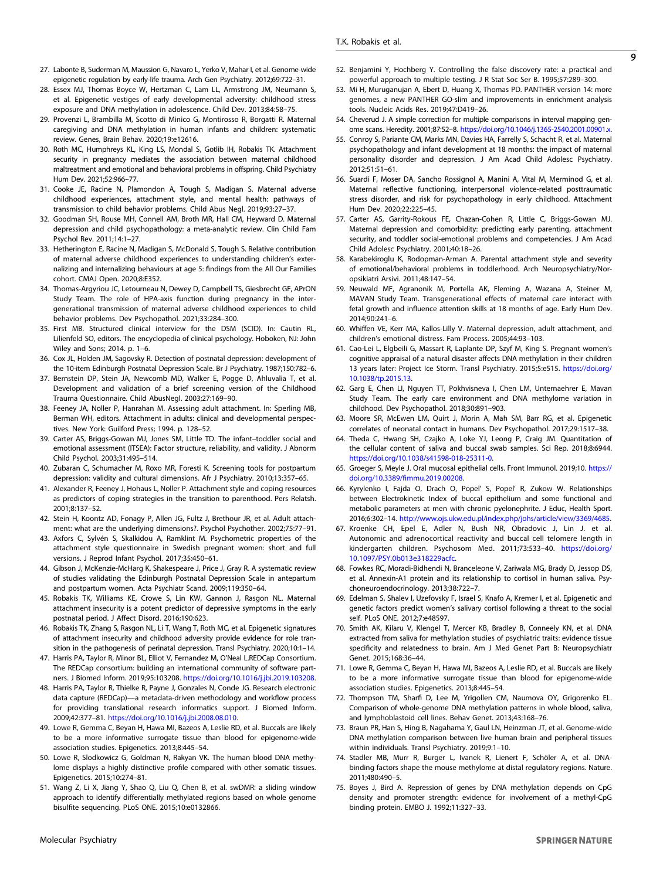- <span id="page-8-0"></span>27. Labonte B, Suderman M, Maussion G, Navaro L, Yerko V, Mahar I, et al. Genome-wide epigenetic regulation by early-life trauma. Arch Gen Psychiatry. 2012;69:722–31.
- 28. Essex MJ, Thomas Boyce W, Hertzman C, Lam LL, Armstrong JM, Neumann S, et al. Epigenetic vestiges of early developmental adversity: childhood stress exposure and DNA methylation in adolescence. Child Dev. 2013;84:58–75.
- 29. Provenzi L, Brambilla M, Scotto di Minico G, Montirosso R, Borgatti R. Maternal caregiving and DNA methylation in human infants and children: systematic review. Genes, Brain Behav. 2020;19:e12616.
- 30. Roth MC, Humphreys KL, King LS, Mondal S, Gotlib IH, Robakis TK. Attachment security in pregnancy mediates the association between maternal childhood maltreatment and emotional and behavioral problems in offspring. Child Psychiatry Hum Dev. 2021;52:966–77.
- 31. Cooke JE, Racine N, Plamondon A, Tough S, Madigan S. Maternal adverse childhood experiences, attachment style, and mental health: pathways of transmission to child behavior problems. Child Abus Negl. 2019;93:27–37.
- 32. Goodman SH, Rouse MH, Connell AM, Broth MR, Hall CM, Heyward D. Maternal depression and child psychopathology: a meta-analytic review. Clin Child Fam Psychol Rev. 2011;14:1–27.
- 33. Hetherington E, Racine N, Madigan S, McDonald S, Tough S. Relative contribution of maternal adverse childhood experiences to understanding children's externalizing and internalizing behaviours at age 5: findings from the All Our Families cohort. CMAJ Open. 2020;8:E352.
- 34. Thomas-Argyriou JC, Letourneau N, Dewey D, Campbell TS, Giesbrecht GF, APrON Study Team. The role of HPA-axis function during pregnancy in the intergenerational transmission of maternal adverse childhood experiences to child behavior problems. Dev Psychopathol. 2021;33:284–300.
- 35. First MB. Structured clinical interview for the DSM (SCID). In: Cautin RL, Lilienfeld SO, editors. The encyclopedia of clinical psychology. Hoboken, NJ: John Wiley and Sons; 2014. p. 1–6.
- 36. Cox JL, Holden JM, Sagovsky R. Detection of postnatal depression: development of the 10-item Edinburgh Postnatal Depression Scale. Br J Psychiatry. 1987;150:782–6.
- 37. Bernstein DP, Stein JA, Newcomb MD, Walker E, Pogge D, Ahluvalia T, et al. Development and validation of a brief screening version of the Childhood Trauma Questionnaire. Child AbusNegl. 2003;27:169–90.
- 38. Feeney JA, Noller P, Hanrahan M. Assessing adult attachment. In: Sperling MB, Berman WH, editors. Attachment in adults: clinical and developmental perspectives. New York: Guilford Press; 1994. p. 128–52.
- 39. Carter AS, Briggs-Gowan MJ, Jones SM, Little TD. The infant–toddler social and emotional assessment (ITSEA): Factor structure, reliability, and validity. J Abnorm Child Psychol. 2003;31:495–514.
- 40. Zubaran C, Schumacher M, Roxo MR, Foresti K. Screening tools for postpartum depression: validity and cultural dimensions. Afr J Psychiatry. 2010;13:357–65.
- 41. Alexander R, Feeney J, Hohaus L, Noller P. Attachment style and coping resources as predictors of coping strategies in the transition to parenthood. Pers Relatsh. 2001;8:137–52.
- 42. Stein H, Koontz AD, Fonagy P, Allen JG, Fultz J, Brethour JR, et al. Adult attachment: what are the underlying dimensions?. Psychol Psychother. 2002;75:77–91.
- 43. Axfors C, Sylvén S, Skalkidou A, Ramklint M. Psychometric properties of the attachment style questionnaire in Swedish pregnant women: short and full versions. J Reprod Infant Psychol. 2017;35:450–61.
- 44. Gibson J, McKenzie‐McHarg K, Shakespeare J, Price J, Gray R. A systematic review of studies validating the Edinburgh Postnatal Depression Scale in antepartum and postpartum women. Acta Psychiatr Scand. 2009;119:350–64.
- 45. Robakis TK, Williams KE, Crowe S, Lin KW, Gannon J, Rasgon NL. Maternal attachment insecurity is a potent predictor of depressive symptoms in the early postnatal period. J Affect Disord. 2016;190:623.
- 46. Robakis TK, Zhang S, Rasgon NL, Li T, Wang T, Roth MC, et al. Epigenetic signatures of attachment insecurity and childhood adversity provide evidence for role transition in the pathogenesis of perinatal depression. Transl Psychiatry. 2020;10:1–14.
- 47. Harris PA, Taylor R, Minor BL, Elliot V, Fernandez M, O'Neal L.REDCap Consortium. The REDCap consortium: building an international community of software partners. J Biomed Inform. 2019;95:103208. [https://doi.org/10.1016/j.jbi.2019.103208.](https://doi.org/10.1016/j.jbi.2019.103208)
- 48. Harris PA, Taylor R, Thielke R, Payne J, Gonzales N, Conde JG. Research electronic data capture (REDCap)—a metadata-driven methodology and workflow process for providing translational research informatics support. J Biomed Inform. 2009;42:377–81. [https://doi.org/10.1016/j.jbi.2008.08.010.](https://doi.org/10.1016/j.jbi.2008.08.010)
- 49. Lowe R, Gemma C, Beyan H, Hawa MI, Bazeos A, Leslie RD, et al. Buccals are likely to be a more informative surrogate tissue than blood for epigenome-wide association studies. Epigenetics. 2013;8:445–54.
- 50. Lowe R, Slodkowicz G, Goldman N, Rakyan VK. The human blood DNA methylome displays a highly distinctive profile compared with other somatic tissues. Epigenetics. 2015;10:274–81.
- 51. Wang Z, Li X, Jiang Y, Shao Q, Liu Q, Chen B, et al. swDMR: a sliding window approach to identify differentially methylated regions based on whole genome bisulfite sequencing. PLoS ONE. 2015;10:e0132866.

Molecular Psychiatry

- 52. Benjamini Y, Hochberg Y. Controlling the false discovery rate: a practical and powerful approach to multiple testing. J R Stat Soc Ser B. 1995;57:289–300.
- 53. Mi H, Muruganujan A, Ebert D, Huang X, Thomas PD. PANTHER version 14: more genomes, a new PANTHER GO-slim and improvements in enrichment analysis tools. Nucleic Acids Res. 2019;47:D419–26.
- 54. Cheverud J. A simple correction for multiple comparisons in interval mapping genome scans. Heredity. 2001;87:52–8. [https://doi.org/10.1046/j.1365-2540.2001.00901.x.](https://doi.org/10.1046/j.1365-2540.2001.00901.x)
- 55. Conroy S, Pariante CM, Marks MN, Davies HA, Farrelly S, Schacht R, et al. Maternal psychopathology and infant development at 18 months: the impact of maternal personality disorder and depression. J Am Acad Child Adolesc Psychiatry. 2012;51:51–61.
- 56. Suardi F, Moser DA, Sancho Rossignol A, Manini A, Vital M, Merminod G, et al. Maternal reflective functioning, interpersonal violence-related posttraumatic stress disorder, and risk for psychopathology in early childhood. Attachment Hum Dev. 2020;22:225–45.
- 57. Carter AS, Garrity-Rokous FE, Chazan-Cohen R, Little C, Briggs-Gowan MJ. Maternal depression and comorbidity: predicting early parenting, attachment security, and toddler social-emotional problems and competencies. J Am Acad Child Adolesc Psychiatry. 2001;40:18–26.
- 58. Karabekiroglu K, Rodopman-Arman A. Parental attachment style and severity of emotional/behavioral problems in toddlerhood. Arch Neuropsychiatry/Noropsikiatri Arsivi. 2011;48:147–54.
- 59. Neuwald MF, Agranonik M, Portella AK, Fleming A, Wazana A, Steiner M, MAVAN Study Team. Transgenerational effects of maternal care interact with fetal growth and influence attention skills at 18 months of age. Early Hum Dev. 2014;90:241–6.
- 60. Whiffen VE, Kerr MA, Kallos‐Lilly V. Maternal depression, adult attachment, and children's emotional distress. Fam Process. 2005;44:93–103.
- 61. Cao-Lei L, Elgbeili G, Massart R, Laplante DP, Szyf M, King S. Pregnant women's cognitive appraisal of a natural disaster affects DNA methylation in their children 13 years later: Project Ice Storm. Transl Psychiatry. 2015;5:e515. [https://doi.org/](https://doi.org/10.1038/tp.2015.13) [10.1038/tp.2015.13](https://doi.org/10.1038/tp.2015.13).
- 62. Garg E, Chen LI, Nguyen TT, Pokhvisneva I, Chen LM, Unternaehrer E, Mavan Study Team. The early care environment and DNA methylome variation in childhood. Dev Psychopathol. 2018;30:891–903.
- 63. Moore SR, McEwen LM, Quirt J, Morin A, Mah SM, Barr RG, et al. Epigenetic correlates of neonatal contact in humans. Dev Psychopathol. 2017;29:1517–38.
- 64. Theda C, Hwang SH, Czajko A, Loke YJ, Leong P, Craig JM. Quantitation of the cellular content of saliva and buccal swab samples. Sci Rep. 2018;8:6944. [https://doi.org/10.1038/s41598-018-25311-0.](https://doi.org/10.1038/s41598-018-25311-0)
- 65. Groeger S, Meyle J. Oral mucosal epithelial cells. Front Immunol. 2019;10. [https://](https://doi.org/10.3389/fimmu.2019.00208) doi.org/10.3389/fi[mmu.2019.00208.](https://doi.org/10.3389/fimmu.2019.00208)
- 66. Kyrylenko I, Fajda O, Drach O, Popel' S, Popel' R, Zukow W. Relationships between Electrokinetic Index of buccal epithelium and some functional and metabolic parameters at men with chronic pyelonephrite. J Educ, Health Sport. 2016;6:302–14. [http://www.ojs.ukw.edu.pl/index.php/johs/article/view/3369/4685.](http://www.ojs.ukw.edu.pl/index.php/johs/article/view/3369/4685)
- 67. Kroenke CH, Epel E, Adler N, Bush NR, Obradovic J, Lin J. et al. Autonomic and adrenocortical reactivity and buccal cell telomere length in kindergarten children. Psychosom Med. 2011;73:533–40. [https://doi.org/](https://doi.org/10.1097/PSY.0b013e318229acfc) [10.1097/PSY.0b013e318229acfc.](https://doi.org/10.1097/PSY.0b013e318229acfc)
- 68. Fowkes RC, Moradi-Bidhendi N, Branceleone V, Zariwala MG, Brady D, Jessop DS, et al. Annexin-A1 protein and its relationship to cortisol in human saliva. Psychoneuroendocrinology. 2013;38:722–7.
- 69. Edelman S, Shalev I, Uzefovsky F, Israel S, Knafo A, Kremer I, et al. Epigenetic and genetic factors predict women's salivary cortisol following a threat to the social self. PLoS ONE. 2012;7:e48597.
- 70. Smith AK, Kilaru V, Klengel T, Mercer KB, Bradley B, Conneely KN, et al. DNA extracted from saliva for methylation studies of psychiatric traits: evidence tissue specificity and relatedness to brain. Am J Med Genet Part B: Neuropsychiatr Genet. 2015;168:36–44.
- 71. Lowe R, Gemma C, Beyan H, Hawa MI, Bazeos A, Leslie RD, et al. Buccals are likely to be a more informative surrogate tissue than blood for epigenome-wide association studies. Epigenetics. 2013;8:445–54.
- 72. Thompson TM, Sharfi D, Lee M, Yrigollen CM, Naumova OY, Grigorenko EL. Comparison of whole-genome DNA methylation patterns in whole blood, saliva, and lymphoblastoid cell lines. Behav Genet. 2013;43:168–76.
- 73. Braun PR, Han S, Hing B, Nagahama Y, Gaul LN, Heinzman JT, et al. Genome-wide DNA methylation comparison between live human brain and peripheral tissues within individuals. Transl Psychiatry. 2019;9:1–10.
- 74. Stadler MB, Murr R, Burger L, Ivanek R, Lienert F, Schöler A, et al. DNAbinding factors shape the mouse methylome at distal regulatory regions. Nature. 2011;480:490–5.
- 75. Boyes J, Bird A. Repression of genes by DNA methylation depends on CpG density and promoter strength: evidence for involvement of a methyl-CpG binding protein. EMBO J. 1992;11:327–33.